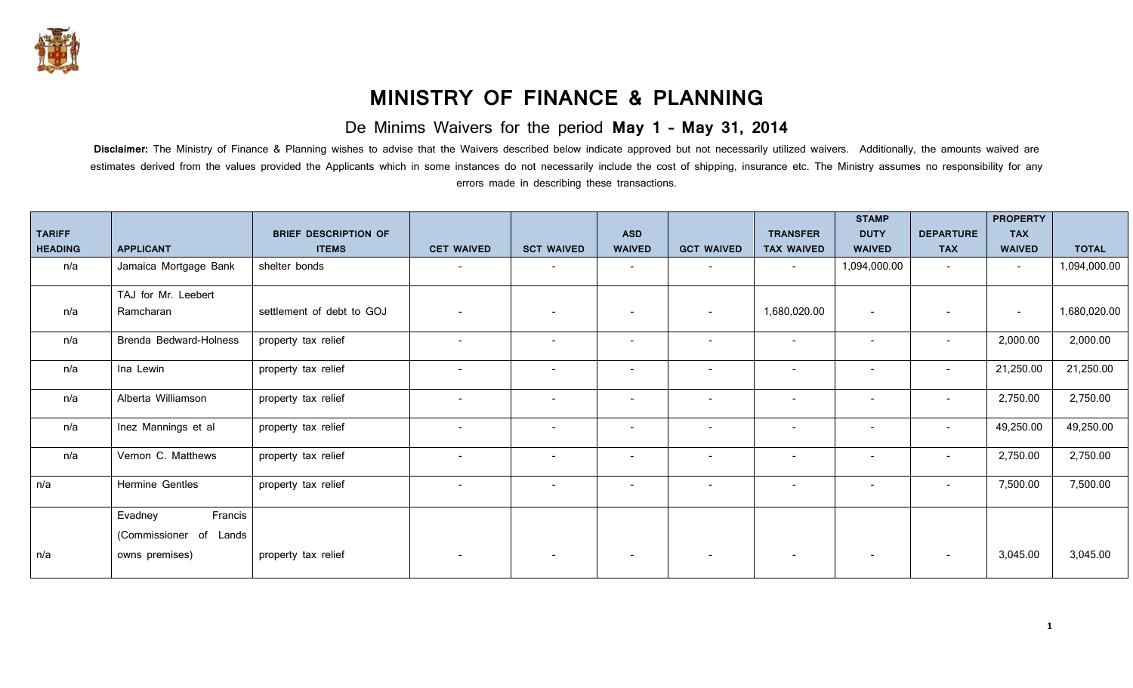

## **MINISTRY OF FINANCE & PLANNING**

## De Minims Waivers for the period **May 1 – May 31, 2014**

Disclaimer: The Ministry of Finance & Planning wishes to advise that the Waivers described below indicate approved but not necessarily utilized waivers. Additionally, the amounts waived are estimates derived from the values provided the Applicants which in some instances do not necessarily include the cost of shipping, insurance etc. The Ministry assumes no responsibility for any errors made in describing these transactions.

|                                 |                                                 |                                             |                          |                          |                             |                          |                                      | <b>STAMP</b>                 |                                | <b>PROPERTY</b><br><b>TAX</b> |              |
|---------------------------------|-------------------------------------------------|---------------------------------------------|--------------------------|--------------------------|-----------------------------|--------------------------|--------------------------------------|------------------------------|--------------------------------|-------------------------------|--------------|
| <b>TARIFF</b><br><b>HEADING</b> | <b>APPLICANT</b>                                | <b>BRIEF DESCRIPTION OF</b><br><b>ITEMS</b> | <b>CET WAIVED</b>        | <b>SCT WAIVED</b>        | <b>ASD</b><br><b>WAIVED</b> | <b>GCT WAIVED</b>        | <b>TRANSFER</b><br><b>TAX WAIVED</b> | <b>DUTY</b><br><b>WAIVED</b> | <b>DEPARTURE</b><br><b>TAX</b> | <b>WAIVED</b>                 | <b>TOTAL</b> |
| n/a                             | Jamaica Mortgage Bank                           | shelter bonds                               | $\overline{\phantom{0}}$ | $\overline{\phantom{a}}$ | $\overline{\phantom{a}}$    | $\sim$                   | $\sim$                               | 1,094,000.00                 | $\overline{\phantom{0}}$       | $\overline{\phantom{a}}$      | 1,094,000.00 |
| n/a                             | TAJ for Mr. Leebert<br>Ramcharan                | settlement of debt to GOJ                   |                          | $\overline{\phantom{a}}$ | $\overline{\phantom{0}}$    | $\overline{a}$           | 1,680,020.00                         | $\overline{\phantom{a}}$     |                                | $\overline{\phantom{a}}$      | 1,680,020.00 |
| n/a                             | Brenda Bedward-Holness                          | property tax relief                         | $\overline{\phantom{0}}$ | $\overline{\phantom{a}}$ | $\overline{\phantom{a}}$    | $\overline{\phantom{a}}$ | $\overline{\phantom{a}}$             | $\overline{\phantom{a}}$     | $\overline{\phantom{a}}$       | 2,000.00                      | 2,000.00     |
| n/a                             | Ina Lewin                                       | property tax relief                         | $\overline{\phantom{0}}$ | $\overline{\phantom{a}}$ | $\overline{a}$              | $\overline{\phantom{a}}$ | $\overline{\phantom{0}}$             | $\overline{\phantom{a}}$     | $\sim$                         | 21,250.00                     | 21,250.00    |
| n/a                             | Alberta Williamson                              | property tax relief                         |                          | $\overline{\phantom{0}}$ |                             | $\overline{a}$           |                                      | $\overline{\phantom{a}}$     | $\overline{\phantom{0}}$       | 2,750.00                      | 2,750.00     |
| n/a                             | Inez Mannings et al                             | property tax relief                         | $\overline{\phantom{a}}$ | $\overline{\phantom{a}}$ |                             | $\overline{\phantom{a}}$ | $\overline{\phantom{0}}$             | $\overline{\phantom{a}}$     | $\overline{\phantom{0}}$       | 49,250.00                     | 49,250.00    |
| n/a                             | Vernon C. Matthews                              | property tax relief                         |                          | $\overline{\phantom{a}}$ |                             | $\overline{\phantom{a}}$ |                                      | $\overline{\phantom{0}}$     |                                | 2,750.00                      | 2,750.00     |
| n/a                             | Hermine Gentles                                 | property tax relief                         | $\overline{\phantom{0}}$ | $\overline{\phantom{a}}$ | $\overline{a}$              | $\overline{\phantom{a}}$ | $\overline{\phantom{0}}$             | $\overline{\phantom{a}}$     | $\overline{\phantom{0}}$       | 7,500.00                      | 7,500.00     |
|                                 | Francis<br>Evadney<br>(Commissioner of<br>Lands |                                             |                          |                          |                             |                          |                                      |                              |                                |                               |              |
| n/a                             | owns premises)                                  | property tax relief                         | $\overline{\phantom{a}}$ |                          |                             | $\overline{\phantom{a}}$ |                                      | $\overline{\phantom{a}}$     | $\overline{\phantom{a}}$       | 3,045.00                      | 3,045.00     |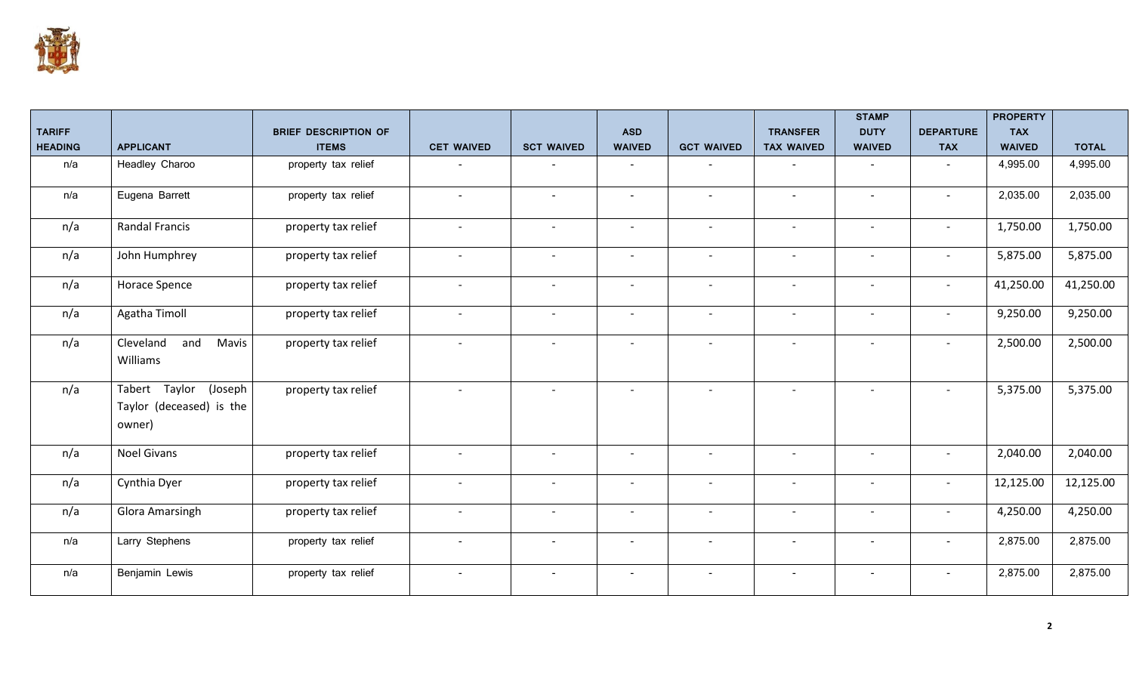

|                |                                                                |                             |                          |                          |                          |                          |                          | <b>STAMP</b>             |                          | <b>PROPERTY</b>             |              |
|----------------|----------------------------------------------------------------|-----------------------------|--------------------------|--------------------------|--------------------------|--------------------------|--------------------------|--------------------------|--------------------------|-----------------------------|--------------|
| <b>TARIFF</b>  | <b>APPLICANT</b>                                               | <b>BRIEF DESCRIPTION OF</b> |                          |                          | <b>ASD</b>               | <b>GCT WAIVED</b>        | <b>TRANSFER</b>          | <b>DUTY</b>              | <b>DEPARTURE</b>         | <b>TAX</b><br><b>WAIVED</b> |              |
| <b>HEADING</b> |                                                                | <b>ITEMS</b>                | <b>CET WAIVED</b>        | <b>SCT WAIVED</b>        | <b>WAIVED</b>            |                          | <b>TAX WAIVED</b>        | <b>WAIVED</b>            | <b>TAX</b>               |                             | <b>TOTAL</b> |
| n/a            | Headley Charoo                                                 | property tax relief         | $\overline{\phantom{0}}$ |                          | $\overline{\phantom{a}}$ | $\overline{\phantom{a}}$ | $\overline{\phantom{a}}$ | $\sim$                   | $\blacksquare$           | 4,995.00                    | 4,995.00     |
| n/a            | Eugena Barrett                                                 | property tax relief         | $\overline{\phantom{a}}$ | $\sim$                   | $\blacksquare$           | $\overline{\phantom{a}}$ | $\overline{\phantom{a}}$ | $\overline{\phantom{a}}$ | $\blacksquare$           | 2,035.00                    | 2,035.00     |
| n/a            | <b>Randal Francis</b>                                          | property tax relief         | $\overline{\phantom{a}}$ |                          | $\overline{\phantom{a}}$ | $\overline{\phantom{a}}$ | $\overline{\phantom{a}}$ |                          | $\overline{\phantom{a}}$ | 1,750.00                    | 1,750.00     |
| n/a            | John Humphrey                                                  | property tax relief         | $\overline{\phantom{a}}$ | $\overline{\phantom{a}}$ | $\overline{\phantom{a}}$ | $\overline{\phantom{a}}$ | $\overline{\phantom{a}}$ | $\overline{\phantom{a}}$ | $\overline{\phantom{a}}$ | 5,875.00                    | 5,875.00     |
| n/a            | Horace Spence                                                  | property tax relief         | $\overline{\phantom{a}}$ |                          | $\overline{\phantom{a}}$ | $\overline{\phantom{0}}$ | $\overline{\phantom{a}}$ |                          | $\overline{\phantom{a}}$ | 41,250.00                   | 41,250.00    |
| n/a            | Agatha Timoll                                                  | property tax relief         | $\overline{\phantom{a}}$ | $\overline{\phantom{a}}$ | $\overline{\phantom{a}}$ | $\overline{\phantom{a}}$ | $\overline{\phantom{a}}$ | $\overline{\phantom{a}}$ | $\overline{\phantom{a}}$ | 9,250.00                    | 9,250.00     |
| n/a            | Cleveland<br>and<br>Mavis<br>Williams                          | property tax relief         | $\overline{\phantom{a}}$ |                          | $\overline{\phantom{a}}$ | $\overline{\phantom{a}}$ | $\overline{\phantom{a}}$ |                          |                          | 2,500.00                    | 2,500.00     |
| n/a            | Tabert Taylor<br>(Joseph<br>Taylor (deceased) is the<br>owner) | property tax relief         | $\overline{\phantom{a}}$ |                          | $\overline{\phantom{a}}$ | $\overline{\phantom{a}}$ | $\overline{\phantom{a}}$ | $\overline{\phantom{a}}$ | $\overline{a}$           | 5,375.00                    | 5,375.00     |
| n/a            | <b>Noel Givans</b>                                             | property tax relief         | $\overline{\phantom{a}}$ |                          | $\overline{\phantom{a}}$ | $\overline{\phantom{a}}$ | $\overline{\phantom{a}}$ |                          | $\overline{\phantom{a}}$ | 2,040.00                    | 2,040.00     |
| n/a            | Cynthia Dyer                                                   | property tax relief         | $\overline{\phantom{a}}$ | $\overline{\phantom{0}}$ | $\overline{\phantom{a}}$ | $\overline{\phantom{a}}$ | $\overline{\phantom{a}}$ | $\overline{\phantom{a}}$ | $\overline{\phantom{a}}$ | 12,125.00                   | 12,125.00    |
| n/a            | <b>Glora Amarsingh</b>                                         | property tax relief         | $\overline{\phantom{a}}$ |                          | $\overline{\phantom{a}}$ | $\overline{\phantom{a}}$ | $\overline{\phantom{a}}$ | $\overline{\phantom{a}}$ | $\overline{\phantom{a}}$ | 4,250.00                    | 4,250.00     |
| n/a            | Larry Stephens                                                 | property tax relief         | $\overline{\phantom{a}}$ | $\sim$                   | $\overline{\phantom{a}}$ | $\sim$                   | $\overline{\phantom{a}}$ | $\overline{\phantom{a}}$ | $\overline{\phantom{a}}$ | 2,875.00                    | 2,875.00     |
| n/a            | Benjamin Lewis                                                 | property tax relief         | $\overline{\phantom{a}}$ |                          | $\overline{\phantom{a}}$ | $\overline{\phantom{a}}$ | $\overline{\phantom{a}}$ | $\overline{\phantom{a}}$ | $\overline{\phantom{a}}$ | 2,875.00                    | 2,875.00     |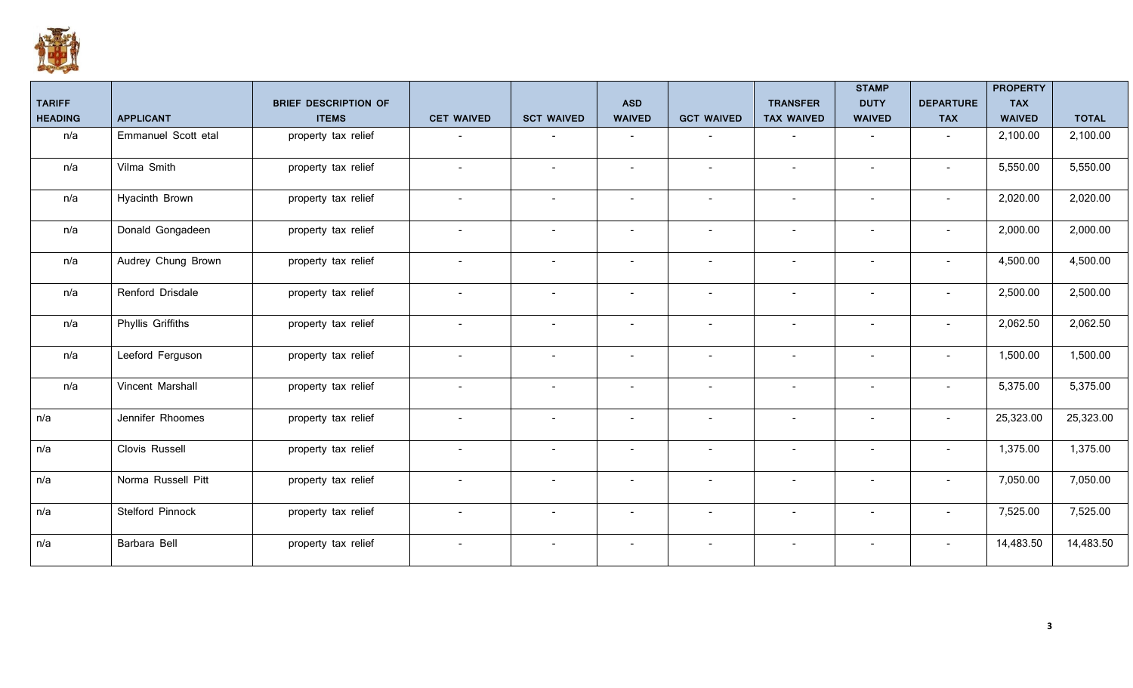

|                |                          |                             |                          |                          |                          |                          |                          | <b>STAMP</b>             |                          | <b>PROPERTY</b> |              |
|----------------|--------------------------|-----------------------------|--------------------------|--------------------------|--------------------------|--------------------------|--------------------------|--------------------------|--------------------------|-----------------|--------------|
| <b>TARIFF</b>  |                          | <b>BRIEF DESCRIPTION OF</b> |                          |                          | <b>ASD</b>               |                          | <b>TRANSFER</b>          | <b>DUTY</b>              | <b>DEPARTURE</b>         | <b>TAX</b>      |              |
| <b>HEADING</b> | <b>APPLICANT</b>         | <b>ITEMS</b>                | <b>CET WAIVED</b>        | <b>SCT WAIVED</b>        | <b>WAIVED</b>            | <b>GCT WAIVED</b>        | <b>TAX WAIVED</b>        | <b>WAIVED</b>            | <b>TAX</b>               | <b>WAIVED</b>   | <b>TOTAL</b> |
| n/a            | Emmanuel Scott etal      | property tax relief         |                          | $\overline{\phantom{a}}$ | $\overline{\phantom{a}}$ | $\sim$                   | $\overline{\phantom{a}}$ | $\overline{\phantom{a}}$ | $\overline{\phantom{a}}$ | 2,100.00        | 2,100.00     |
| n/a            | Vilma Smith              | property tax relief         | $\overline{\phantom{a}}$ | $\overline{\phantom{a}}$ | $\overline{\phantom{a}}$ | $\overline{\phantom{a}}$ | $\sim$                   | $\overline{\phantom{a}}$ | $\overline{\phantom{a}}$ | 5,550.00        | 5,550.00     |
| n/a            | Hyacinth Brown           | property tax relief         | $\overline{\phantom{a}}$ | $\overline{\phantom{a}}$ | $\overline{\phantom{a}}$ | $\sim$                   | $\sim$                   | $\overline{\phantom{a}}$ | $\sim$                   | 2,020.00        | 2,020.00     |
| n/a            | Donald Gongadeen         | property tax relief         | $\overline{\phantom{a}}$ | $\blacksquare$           | $\overline{\phantom{a}}$ | $\overline{\phantom{a}}$ | $\overline{\phantom{0}}$ | $\blacksquare$           |                          | 2,000.00        | 2,000.00     |
| n/a            | Audrey Chung Brown       | property tax relief         |                          | $\overline{\phantom{0}}$ | $\overline{\phantom{a}}$ | $\overline{\phantom{a}}$ |                          | $\overline{\phantom{a}}$ |                          | 4,500.00        | 4,500.00     |
| n/a            | Renford Drisdale         | property tax relief         | $\overline{\phantom{a}}$ | $\blacksquare$           | $\overline{\phantom{a}}$ | $\overline{\phantom{a}}$ | $\sim$                   | $\blacksquare$           |                          | 2,500.00        | 2,500.00     |
| n/a            | <b>Phyllis Griffiths</b> | property tax relief         | $\overline{\phantom{a}}$ | $\overline{\phantom{a}}$ | $\overline{\phantom{a}}$ | $\overline{\phantom{a}}$ | $\sim$                   | $\overline{\phantom{a}}$ | $\sim$                   | 2,062.50        | 2,062.50     |
| n/a            | Leeford Ferguson         | property tax relief         | $\overline{\phantom{a}}$ | $\overline{\phantom{a}}$ | $\overline{\phantom{a}}$ | $\overline{\phantom{a}}$ | $\sim$                   | $\overline{\phantom{a}}$ | $\sim$                   | 1,500.00        | 1,500.00     |
| n/a            | Vincent Marshall         | property tax relief         | $\overline{\phantom{a}}$ | $\sim$                   | $\overline{\phantom{a}}$ | $\overline{\phantom{a}}$ | $\sim$                   | $\overline{\phantom{a}}$ |                          | 5,375.00        | 5,375.00     |
| n/a            | Jennifer Rhoomes         | property tax relief         | $\overline{\phantom{a}}$ | $\overline{\phantom{a}}$ | $\overline{\phantom{a}}$ | $\sim$                   | $\sim$                   | $\overline{\phantom{a}}$ | $\sim$                   | 25,323.00       | 25,323.00    |
| n/a            | Clovis Russell           | property tax relief         |                          |                          | $\overline{\phantom{a}}$ | $\overline{\phantom{a}}$ |                          | $\overline{\phantom{a}}$ |                          | 1,375.00        | 1,375.00     |
| n/a            | Norma Russell Pitt       | property tax relief         |                          | $\qquad \qquad -$        | $\overline{\phantom{a}}$ | $\overline{\phantom{a}}$ |                          | $\overline{\phantom{a}}$ |                          | 7,050.00        | 7,050.00     |
| n/a            | Stelford Pinnock         | property tax relief         | $\overline{\phantom{a}}$ | $\overline{\phantom{a}}$ | $\overline{\phantom{a}}$ | $\sim$                   | $\sim$                   | $\overline{\phantom{a}}$ | $\sim$                   | 7,525.00        | 7,525.00     |
| n/a            | Barbara Bell             | property tax relief         | $\sim$                   | $\overline{\phantom{a}}$ | $\blacksquare$           | $\overline{\phantom{a}}$ | $\overline{\phantom{0}}$ | $\overline{\phantom{a}}$ |                          | 14,483.50       | 14,483.50    |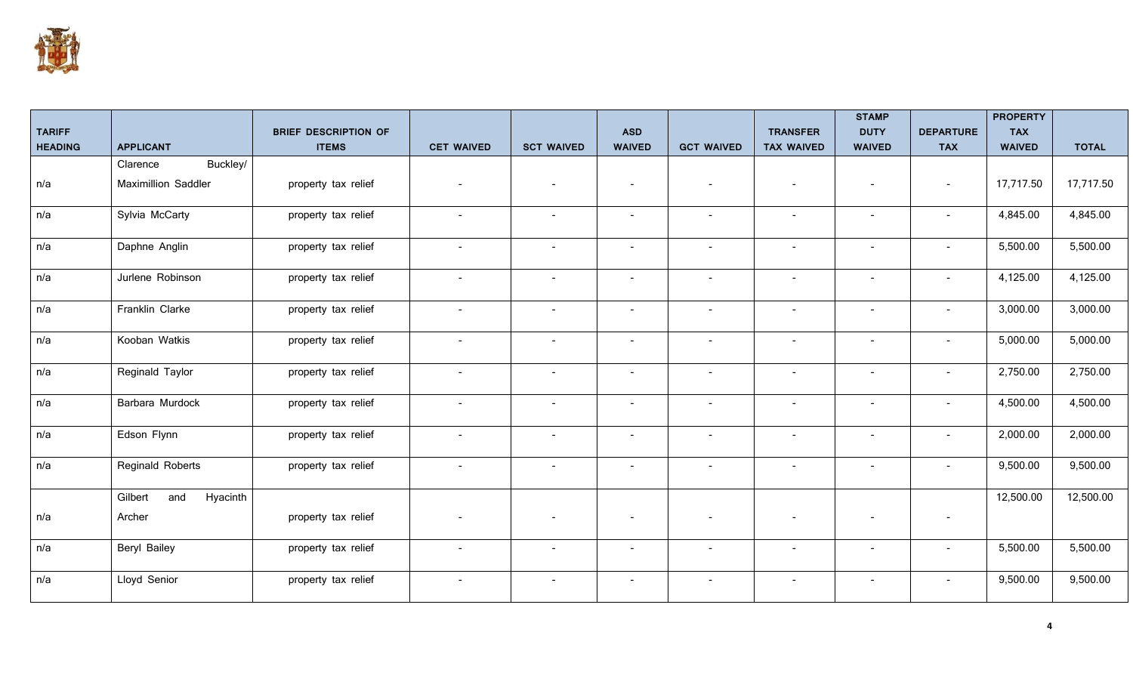

|                                 |                            |                                             |                          |                          |                             |                          |                                      | <b>STAMP</b>                 |                                | <b>PROPERTY</b>             |              |
|---------------------------------|----------------------------|---------------------------------------------|--------------------------|--------------------------|-----------------------------|--------------------------|--------------------------------------|------------------------------|--------------------------------|-----------------------------|--------------|
| <b>TARIFF</b><br><b>HEADING</b> | <b>APPLICANT</b>           | <b>BRIEF DESCRIPTION OF</b><br><b>ITEMS</b> | <b>CET WAIVED</b>        | <b>SCT WAIVED</b>        | <b>ASD</b><br><b>WAIVED</b> | <b>GCT WAIVED</b>        | <b>TRANSFER</b><br><b>TAX WAIVED</b> | <b>DUTY</b><br><b>WAIVED</b> | <b>DEPARTURE</b><br><b>TAX</b> | <b>TAX</b><br><b>WAIVED</b> | <b>TOTAL</b> |
|                                 | Buckley/<br>Clarence       |                                             |                          |                          |                             |                          |                                      |                              |                                |                             |              |
| n/a                             | <b>Maximillion Saddler</b> | property tax relief                         | $\sim$                   |                          | $\overline{a}$              | $\overline{\phantom{a}}$ | $\overline{\phantom{a}}$             | $\overline{\phantom{a}}$     | $\sim$                         | 17,717.50                   | 17,717.50    |
| n/a                             | Sylvia McCarty             | property tax relief                         | $\overline{\phantom{a}}$ |                          |                             | $\blacksquare$           | $\sim$                               | $\blacksquare$               | $\overline{\phantom{a}}$       | 4,845.00                    | 4,845.00     |
| n/a                             | Daphne Anglin              | property tax relief                         | $\sim$                   | $\blacksquare$           |                             | $\overline{\phantom{a}}$ | $\blacksquare$                       | $\overline{\phantom{a}}$     | $\blacksquare$                 | 5,500.00                    | 5,500.00     |
| n/a                             | Jurlene Robinson           | property tax relief                         | $\sim$                   | $\overline{\phantom{a}}$ | $\sim$                      | $\overline{\phantom{a}}$ | $\overline{\phantom{a}}$             | $\overline{\phantom{a}}$     | $\blacksquare$                 | 4,125.00                    | 4,125.00     |
| n/a                             | Franklin Clarke            | property tax relief                         | $\sim$                   | $\overline{\phantom{a}}$ | $\overline{a}$              | $\overline{\phantom{a}}$ | $\overline{\phantom{a}}$             | $\overline{\phantom{a}}$     | $\sim$                         | 3,000.00                    | 3,000.00     |
| n/a                             | Kooban Watkis              | property tax relief                         | $\overline{\phantom{a}}$ | $\blacksquare$           | $\overline{a}$              | $\overline{\phantom{a}}$ | $\overline{\phantom{a}}$             | $\overline{\phantom{a}}$     | $\overline{\phantom{a}}$       | 5,000.00                    | 5,000.00     |
| n/a                             | Reginald Taylor            | property tax relief                         | $\overline{\phantom{a}}$ |                          |                             | $\overline{\phantom{a}}$ |                                      |                              | $\overline{\phantom{a}}$       | 2,750.00                    | 2,750.00     |
| n/a                             | Barbara Murdock            | property tax relief                         | $\sim$                   | $\overline{\phantom{a}}$ | $\overline{\phantom{a}}$    | $\overline{\phantom{a}}$ | $\overline{\phantom{a}}$             | $\overline{\phantom{a}}$     | $\overline{\phantom{a}}$       | 4,500.00                    | 4,500.00     |
| n/a                             | Edson Flynn                | property tax relief                         | $\sim$                   | $\blacksquare$           | $\sim$                      | $\overline{\phantom{a}}$ | $\overline{\phantom{a}}$             | $\overline{\phantom{a}}$     | $\overline{\phantom{a}}$       | 2,000.00                    | 2,000.00     |
| n/a                             | Reginald Roberts           | property tax relief                         | $\sim$                   | $\overline{\phantom{a}}$ | $\sim$                      | $\overline{\phantom{a}}$ | $\overline{\phantom{a}}$             | $\overline{\phantom{a}}$     | $\sim$                         | 9,500.00                    | 9,500.00     |
|                                 | and<br>Hyacinth<br>Gilbert |                                             |                          |                          |                             |                          |                                      |                              |                                | 12,500.00                   | 12,500.00    |
| n/a                             | Archer                     | property tax relief                         |                          |                          |                             |                          |                                      |                              | $\overline{\phantom{a}}$       |                             |              |
| n/a                             | Beryl Bailey               | property tax relief                         | $\overline{\phantom{a}}$ |                          | $\overline{a}$              | $\overline{\phantom{a}}$ | $\overline{\phantom{a}}$             | $\overline{\phantom{a}}$     | $\overline{\phantom{a}}$       | 5,500.00                    | 5,500.00     |
| n/a                             | Lloyd Senior               | property tax relief                         | $\overline{\phantom{a}}$ | $\overline{\phantom{a}}$ | $\overline{a}$              | $\overline{\phantom{a}}$ | $\overline{\phantom{a}}$             | $\overline{\phantom{a}}$     | $\blacksquare$                 | 9,500.00                    | 9,500.00     |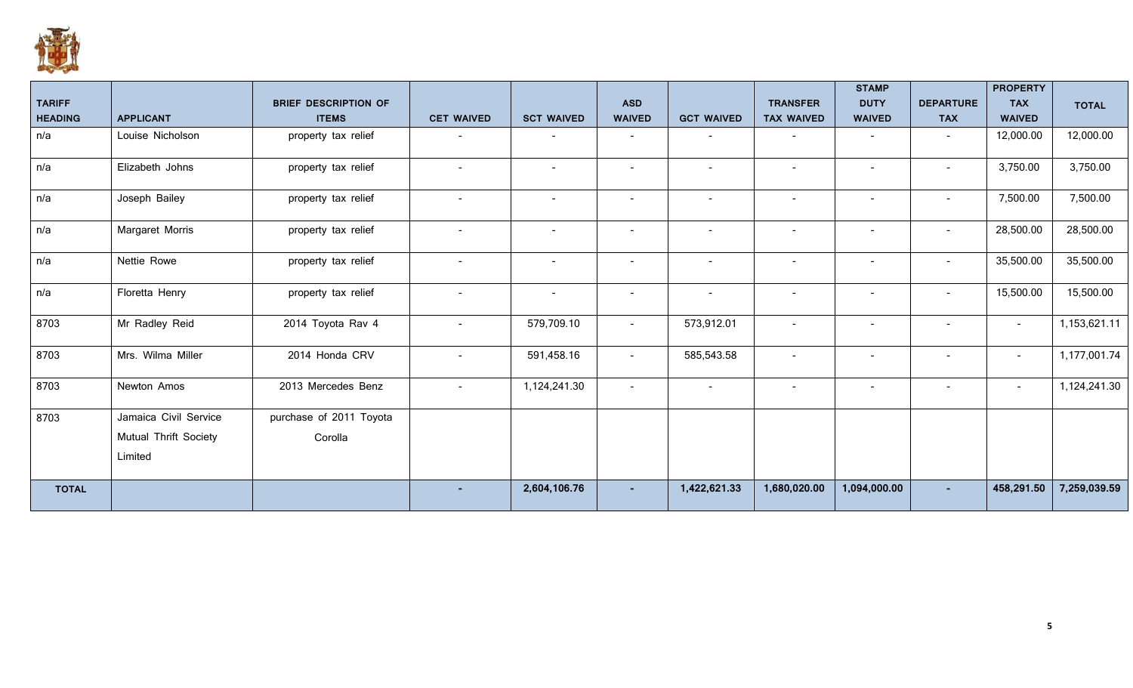

|                |                       |                             |                          |                          |                          |                          |                          | <b>STAMP</b>             |                          | <b>PROPERTY</b> |              |
|----------------|-----------------------|-----------------------------|--------------------------|--------------------------|--------------------------|--------------------------|--------------------------|--------------------------|--------------------------|-----------------|--------------|
| <b>TARIFF</b>  |                       | <b>BRIEF DESCRIPTION OF</b> |                          |                          | <b>ASD</b>               |                          | <b>TRANSFER</b>          | <b>DUTY</b>              | <b>DEPARTURE</b>         | <b>TAX</b>      | <b>TOTAL</b> |
| <b>HEADING</b> | <b>APPLICANT</b>      | <b>ITEMS</b>                | <b>CET WAIVED</b>        | <b>SCT WAIVED</b>        | <b>WAIVED</b>            | <b>GCT WAIVED</b>        | <b>TAX WAIVED</b>        | <b>WAIVED</b>            | <b>TAX</b>               | <b>WAIVED</b>   |              |
| n/a            | Louise Nicholson      | property tax relief         | $\overline{\phantom{a}}$ | $\overline{\phantom{a}}$ | $\overline{\phantom{a}}$ | $\overline{\phantom{a}}$ | $\overline{\phantom{a}}$ | $\overline{\phantom{a}}$ | $\sim$                   | 12,000.00       | 12,000.00    |
| n/a            | Elizabeth Johns       | property tax relief         | $\overline{\phantom{a}}$ | $\overline{\phantom{a}}$ | $\overline{\phantom{a}}$ | $\overline{\phantom{a}}$ | $\blacksquare$           | $\overline{\phantom{a}}$ | $\overline{\phantom{a}}$ | 3,750.00        | 3,750.00     |
| n/a            | Joseph Bailey         | property tax relief         | $\overline{\phantom{a}}$ | $\overline{\phantom{a}}$ | $\overline{\phantom{a}}$ | $\overline{\phantom{a}}$ | $\overline{\phantom{a}}$ | $\overline{a}$           | $\overline{\phantom{a}}$ | 7,500.00        | 7,500.00     |
| n/a            | Margaret Morris       | property tax relief         |                          |                          | $\overline{\phantom{a}}$ | $\overline{\phantom{a}}$ |                          |                          | $\overline{\phantom{a}}$ | 28,500.00       | 28,500.00    |
| n/a            | Nettie Rowe           | property tax relief         | $\overline{\phantom{a}}$ | $\sim$                   | $\overline{\phantom{a}}$ | $\overline{\phantom{a}}$ | $\overline{\phantom{a}}$ |                          | $\overline{\phantom{a}}$ | 35,500.00       | 35,500.00    |
| n/a            | Floretta Henry        | property tax relief         | $\blacksquare$           |                          | $\overline{\phantom{a}}$ | $\overline{\phantom{a}}$ |                          |                          | $\overline{\phantom{a}}$ | 15,500.00       | 15,500.00    |
| 8703           | Mr Radley Reid        | 2014 Toyota Rav 4           | $\blacksquare$           | 579,709.10               | $\overline{\phantom{a}}$ | 573,912.01               | $\blacksquare$           | $\overline{\phantom{a}}$ | $\overline{\phantom{a}}$ | $\sim$          | 1,153,621.11 |
| 8703           | Mrs. Wilma Miller     | 2014 Honda CRV              |                          | 591,458.16               | $\overline{\phantom{a}}$ | 585,543.58               | $\overline{\phantom{a}}$ | $\overline{\phantom{a}}$ | $\overline{\phantom{a}}$ | $\sim$          | 1,177,001.74 |
| 8703           | Newton Amos           | 2013 Mercedes Benz          | $\blacksquare$           | 1,124,241.30             | $\blacksquare$           | $\blacksquare$           | $\overline{\phantom{a}}$ |                          | $\overline{\phantom{a}}$ | $\sim$          | 1,124,241.30 |
| 8703           | Jamaica Civil Service | purchase of 2011 Toyota     |                          |                          |                          |                          |                          |                          |                          |                 |              |
|                | Mutual Thrift Society | Corolla                     |                          |                          |                          |                          |                          |                          |                          |                 |              |
|                | Limited               |                             |                          |                          |                          |                          |                          |                          |                          |                 |              |
| <b>TOTAL</b>   |                       |                             |                          | 2,604,106.76             |                          | 1,422,621.33             | 1,680,020.00             | 1,094,000.00             |                          | 458,291.50      | 7,259,039.59 |